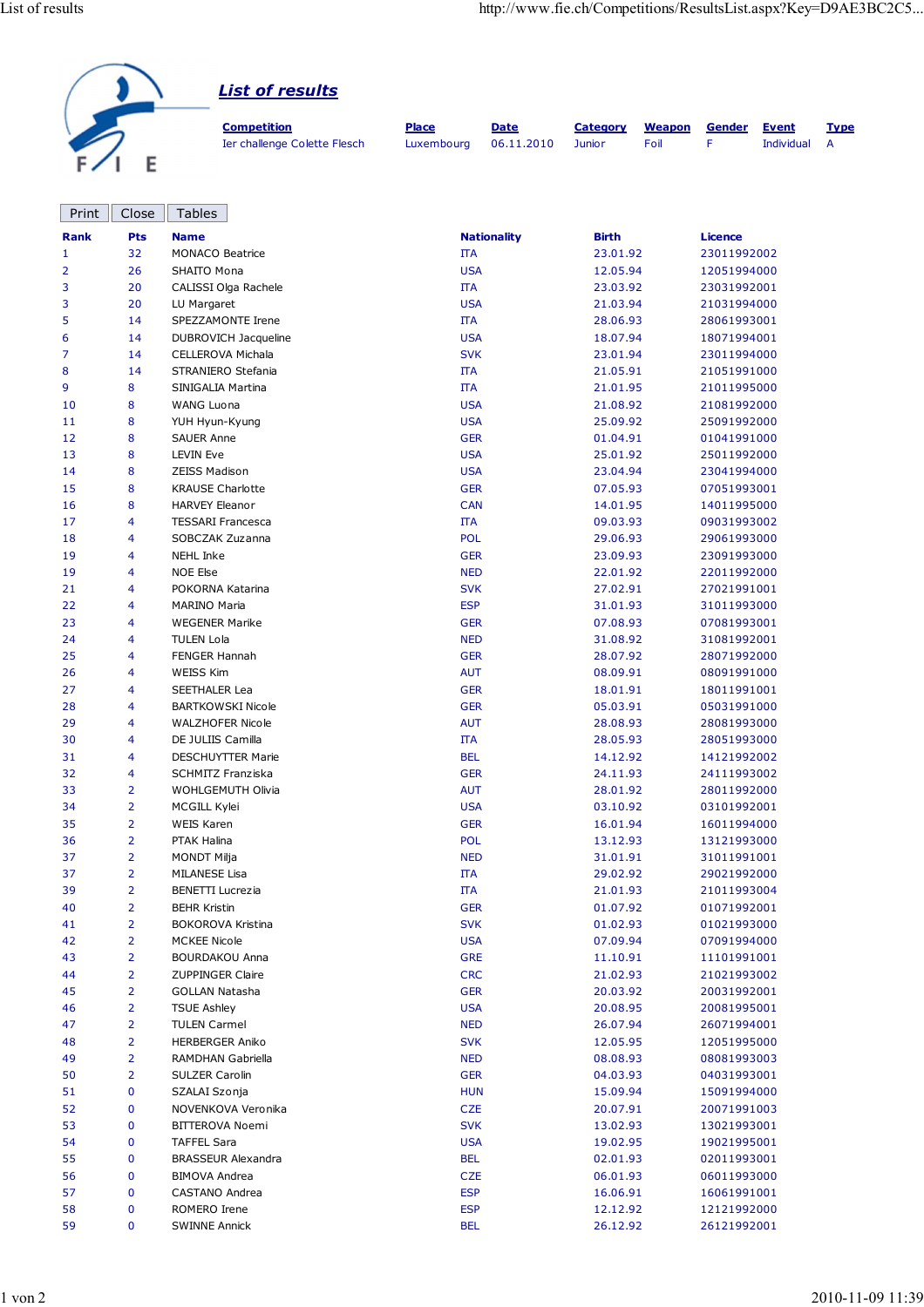| <b>List of results</b>       |              |             |                 |               |        |              |             |
|------------------------------|--------------|-------------|-----------------|---------------|--------|--------------|-------------|
| <b>Competition</b>           | <b>Place</b> | <b>Date</b> | <b>Category</b> | <b>Weapon</b> | Gender | <b>Event</b> | <b>Type</b> |
| Ier challenge Colette Flesch | Luxembourg   | 06.11.2010  | <b>Junior</b>   | Foil          |        | Individual   | A           |

| Print       | Close          | <b>Tables</b>                                  |                          |                      |                            |
|-------------|----------------|------------------------------------------------|--------------------------|----------------------|----------------------------|
| <b>Rank</b> | <b>Pts</b>     | <b>Name</b>                                    | <b>Nationality</b>       | <b>Birth</b>         | <b>Licence</b>             |
| 1           | 32             | <b>MONACO Beatrice</b>                         | <b>ITA</b>               | 23.01.92             | 23011992002                |
| 2           | 26             | SHAITO Mona                                    | <b>USA</b>               | 12.05.94             | 12051994000                |
| 3           | 20             | CALISSI Olga Rachele                           | ΠA                       | 23.03.92             | 23031992001                |
| 3           | 20             | LU Margaret                                    | <b>USA</b>               | 21.03.94             | 21031994000                |
| 5           | 14             | SPEZZAMONTE Irene                              | ΠA                       | 28.06.93             | 28061993001                |
| 6           | 14             | DUBROVICH Jacqueline                           | <b>USA</b>               | 18.07.94             | 18071994001                |
| 7           | 14             | CELLEROVA Michala                              | <b>SVK</b>               | 23.01.94             | 23011994000                |
| 8           | 14             | STRANIERO Stefania                             | IΤΑ                      | 21.05.91             | 21051991000                |
| 9           | 8              | SINIGALIA Martina                              | IΤΑ                      | 21.01.95             | 21011995000                |
| 10          | 8              | WANG Luona                                     | <b>USA</b>               | 21.08.92             | 21081992000                |
| 11          | 8              | YUH Hyun-Kyung                                 | <b>USA</b>               | 25.09.92             | 25091992000                |
| 12          | 8              | <b>SAUER Anne</b>                              | <b>GER</b>               | 01.04.91             | 01041991000                |
| 13          | 8              | <b>LEVIN Eve</b>                               | <b>USA</b>               | 25.01.92             | 25011992000                |
| 14          | 8              | <b>ZEISS Madison</b>                           | <b>USA</b>               | 23.04.94             | 23041994000                |
| 15          | 8              | <b>KRAUSE Charlotte</b>                        | <b>GER</b>               | 07.05.93             | 07051993001                |
| 16          | 8              | <b>HARVEY Eleanor</b>                          | <b>CAN</b>               | 14.01.95             | 14011995000                |
| 17          | 4              | <b>TESSARI Francesca</b>                       | ΠA                       | 09.03.93             | 09031993002                |
| 18          | 4              | SOBCZAK Zuzanna                                | <b>POL</b>               | 29.06.93             | 29061993000                |
| 19          | 4              | NEHL Inke                                      | <b>GER</b>               | 23.09.93             | 23091993000                |
| 19          | 4              | <b>NOE Else</b>                                | <b>NED</b>               | 22.01.92             | 22011992000                |
| 21          | 4              | POKORNA Katarina                               | <b>SVK</b>               | 27.02.91             | 27021991001                |
| 22          | 4              | <b>MARINO Maria</b>                            | <b>ESP</b>               | 31.01.93             | 31011993000                |
| 23          | 4              | <b>WEGENER Marike</b>                          | <b>GER</b>               | 07.08.93             | 07081993001                |
| 24          | 4              | <b>TULEN Lola</b>                              | <b>NED</b>               | 31.08.92             | 31081992001                |
| 25          | 4              | <b>FENGER Hannah</b>                           | <b>GER</b>               | 28.07.92             | 28071992000                |
| 26          | 4              | <b>WEISS Kim</b>                               | <b>AUT</b>               | 08.09.91             | 08091991000                |
| 27          | 4              | <b>SEETHALER Lea</b>                           | <b>GER</b>               | 18.01.91             | 18011991001                |
| 28          | 4              | <b>BARTKOWSKI Nicole</b>                       | <b>GER</b>               | 05.03.91             | 05031991000                |
| 29          | 4              | <b>WALZHOFER Nicole</b>                        | <b>AUT</b>               | 28.08.93             | 28081993000                |
| 30          | 4              | DE JULIIS Camilla                              | <b>ITA</b>               | 28.05.93             | 28051993000                |
| 31          | 4              | DESCHUYTTER Marie                              | <b>BEL</b>               | 14.12.92             | 14121992002                |
| 32          | 4              | <b>SCHMITZ Franziska</b>                       | <b>GER</b>               | 24.11.93             | 24111993002                |
| 33          | 2              | WOHLGEMUTH Olivia                              | <b>AUT</b>               | 28.01.92             | 28011992000                |
| 34          | $\overline{2}$ | MCGILL Kylei                                   | <b>USA</b>               | 03.10.92             | 03101992001                |
| 35          | $\overline{2}$ | <b>WEIS Karen</b>                              | <b>GER</b>               | 16.01.94             | 16011994000                |
| 36          | $\overline{2}$ | PTAK Halina                                    | <b>POL</b>               | 13.12.93             | 13121993000                |
| 37          | $\overline{2}$ | <b>MONDT Milja</b>                             | <b>NED</b>               | 31.01.91             | 31011991001                |
| 37          | $\overline{2}$ | <b>MILANESE Lisa</b>                           | IΤΑ                      | 29.02.92             | 29021992000                |
| 39          | 2              | <b>BENETTI Lucrezia</b><br><b>BEHR Kristin</b> | ΠA                       | 21.01.93             | 21011993004                |
| 40<br>41    | 2<br>2         | <b>BOKOROVA Kristina</b>                       | <b>GER</b><br><b>SVK</b> | 01.07.92<br>01.02.93 | 01071992001<br>01021993000 |
| 42          | 2              | <b>MCKEE Nicole</b>                            | <b>USA</b>               | 07.09.94             | 07091994000                |
| 43          | 2              | <b>BOURDAKOU Anna</b>                          | <b>GRE</b>               | 11.10.91             | 11101991001                |
| 44          | 2              | <b>ZUPPINGER Claire</b>                        | <b>CRC</b>               | 21.02.93             | 21021993002                |
| 45          | $\overline{2}$ | <b>GOLLAN Natasha</b>                          | <b>GER</b>               | 20.03.92             | 20031992001                |
| 46          | 2              | <b>TSUE Ashley</b>                             | <b>USA</b>               | 20.08.95             | 20081995001                |
| 47          | 2              | <b>TULEN Carmel</b>                            | <b>NED</b>               | 26.07.94             | 26071994001                |
| 48          | 2              | <b>HERBERGER Aniko</b>                         | <b>SVK</b>               | 12.05.95             | 12051995000                |
| 49          | 2              | RAMDHAN Gabriella                              | <b>NED</b>               | 08.08.93             | 08081993003                |
| 50          | $\overline{2}$ | SULZER Carolin                                 | <b>GER</b>               | 04.03.93             | 04031993001                |
| 51          | 0              | SZALAI Szonja                                  | <b>HUN</b>               | 15.09.94             | 15091994000                |
| 52          | 0              | NOVENKOVA Veronika                             | <b>CZE</b>               | 20.07.91             | 20071991003                |
| 53          | 0              | <b>BITTEROVA Noemi</b>                         | <b>SVK</b>               | 13.02.93             | 13021993001                |
| 54          | 0              | <b>TAFFEL Sara</b>                             | <b>USA</b>               | 19.02.95             | 19021995001                |
| 55          | 0              | <b>BRASSEUR Alexandra</b>                      | BEL                      | 02.01.93             | 02011993001                |
| 56          | 0              | <b>BIMOVA Andrea</b>                           | <b>CZE</b>               | 06.01.93             | 06011993000                |
| 57          | 0              | CASTANO Andrea                                 | <b>ESP</b>               | 16.06.91             | 16061991001                |
| 58          | 0              | ROMERO Irene                                   | <b>ESP</b>               | 12.12.92             | 12121992000                |
| 59          | 0              | <b>SWINNE Annick</b>                           | <b>BEL</b>               | 26.12.92             | 26121992001                |